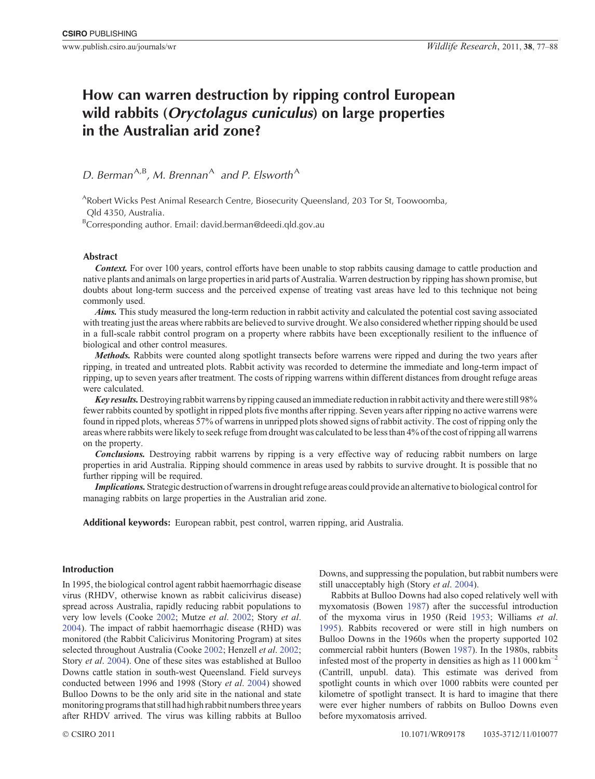# **How can warren destruction by ripping control European wild rabbits (***Oryctolagus cuniculus***) on large properties in the Australian arid zone?**

## D. Berman<sup>A,B</sup>, M. Brennan<sup>A</sup> and P. Elsworth<sup>A</sup>

ARobert Wicks Pest Animal Research Centre, Biosecurity Queensland, 203 Tor St, Toowoomba, Qld 4350, Australia.

<sup>B</sup>Corresponding author. Email: david.berman@deedi.qld.gov.au

## **Abstract**

*Context.* For over 100 years, control efforts have been unable to stop rabbits causing damage to cattle production and native plants and animals on large properties in arid parts of Australia. Warren destruction by ripping has shown promise, but doubts about long-term success and the perceived expense of treating vast areas have led to this technique not being commonly used.

*Aims.* This study measured the long-term reduction in rabbit activity and calculated the potential cost saving associated with treating just the areas where rabbits are believed to survive drought. We also considered whether ripping should be used in a full-scale rabbit control program on a property where rabbits have been exceptionally resilient to the influence of biological and other control measures.

*Methods.* Rabbits were counted along spotlight transects before warrens were ripped and during the two years after ripping, in treated and untreated plots. Rabbit activity was recorded to determine the immediate and long-term impact of ripping, up to seven years after treatment. The costs of ripping warrens within different distances from drought refuge areas were calculated.

*Key results.*Destroying rabbit warrens by ripping caused an immediate reduction in rabbit activity and there were still 98% fewer rabbits counted by spotlight in ripped plots five months after ripping. Seven years after ripping no active warrens were found in ripped plots, whereas 57% of warrens in unripped plots showed signs of rabbit activity. The cost of ripping only the areas where rabbits were likely to seek refuge from drought was calculated to be less than 4% of the cost of ripping all warrens on the property.

*Conclusions.* Destroying rabbit warrens by ripping is a very effective way of reducing rabbit numbers on large properties in arid Australia. Ripping should commence in areas used by rabbits to survive drought. It is possible that no further ripping will be required.

*Implications.* Strategic destruction of warrens in drought refuge areas could provide an alternative to biological control for managing rabbits on large properties in the Australian arid zone.

**Additional keywords:** European rabbit, pest control, warren ripping, arid Australia.

## **Introduction**

In 1995, the biological control agent rabbit haemorrhagic disease virus (RHDV, otherwise known as rabbit calicivirus disease) spread across Australia, rapidly reducing rabbit populations to very low levels (Cooke [2002;](#page-10-0) Mutze *et al*. [2002;](#page-11-0) Story *et al*. [2004](#page-11-0)). The impact of rabbit haemorrhagic disease (RHD) was monitored (the Rabbit Calicivirus Monitoring Program) at sites selected throughout Australia (Cooke [2002](#page-10-0); Henzell *et al*. [2002;](#page-11-0) Story *et al*. [2004](#page-11-0)). One of these sites was established at Bulloo Downs cattle station in south-west Queensland. Field surveys conducted between 1996 and 1998 (Story *et al*. [2004\)](#page-11-0) showed Bulloo Downs to be the only arid site in the national and state monitoring programs that still had high rabbit numbers three years after RHDV arrived. The virus was killing rabbits at Bulloo

Downs, and suppressing the population, but rabbit numbers were still unacceptably high (Story *et al*. [2004](#page-11-0)).

Rabbits at Bulloo Downs had also coped relatively well with myxomatosis (Bowen [1987](#page-10-0)) after the successful introduction of the myxoma virus in 1950 (Reid [1953;](#page-11-0) Williams *et al*. [1995](#page-11-0)). Rabbits recovered or were still in high numbers on Bulloo Downs in the 1960s when the property supported 102 commercial rabbit hunters (Bowen [1987](#page-10-0)). In the 1980s, rabbits infested most of the property in densities as high as  $11\,000\,\mathrm{km}^{-2}$ (Cantrill, unpubl. data). This estimate was derived from spotlight counts in which over 1000 rabbits were counted per kilometre of spotlight transect. It is hard to imagine that there were ever higher numbers of rabbits on Bulloo Downs even before myxomatosis arrived.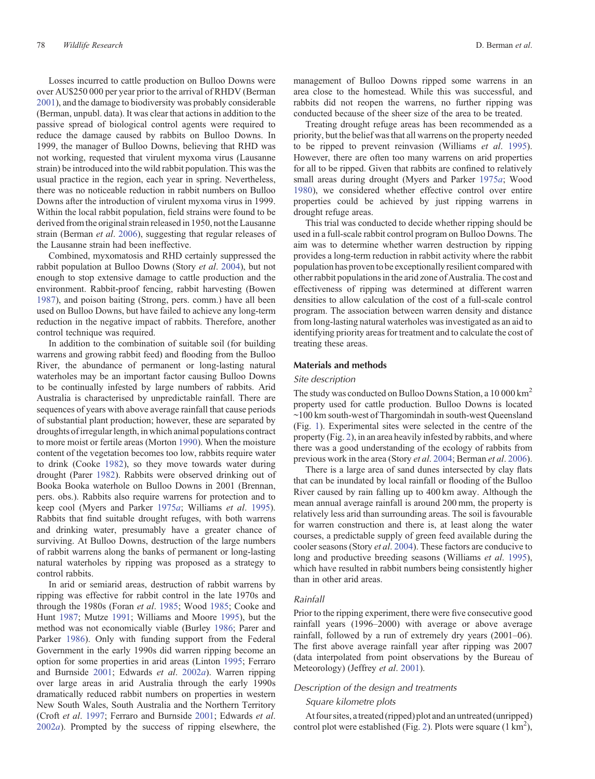Losses incurred to cattle production on Bulloo Downs were over AU\$250 000 per year prior to the arrival of RHDV (Berman [2001\)](#page-10-0), and the damage to biodiversity was probably considerable (Berman, unpubl. data). It was clear that actions in addition to the passive spread of biological control agents were required to reduce the damage caused by rabbits on Bulloo Downs. In 1999, the manager of Bulloo Downs, believing that RHD was not working, requested that virulent myxoma virus (Lausanne strain) be introduced into the wild rabbit population. This was the usual practice in the region, each year in spring. Nevertheless, there was no noticeable reduction in rabbit numbers on Bulloo Downs after the introduction of virulent myxoma virus in 1999. Within the local rabbit population, field strains were found to be derived from the original strain released in 1950, not the Lausanne strain (Berman *et al*. [2006\)](#page-10-0), suggesting that regular releases of the Lausanne strain had been ineffective.

Combined, myxomatosis and RHD certainly suppressed the rabbit population at Bulloo Downs (Story *et al*. [2004](#page-11-0)), but not enough to stop extensive damage to cattle production and the environment. Rabbit-proof fencing, rabbit harvesting (Bowen [1987\)](#page-10-0), and poison baiting (Strong, pers. comm.) have all been used on Bulloo Downs, but have failed to achieve any long-term reduction in the negative impact of rabbits. Therefore, another control technique was required.

In addition to the combination of suitable soil (for building warrens and growing rabbit feed) and flooding from the Bulloo River, the abundance of permanent or long-lasting natural waterholes may be an important factor causing Bulloo Downs to be continually infested by large numbers of rabbits. Arid Australia is characterised by unpredictable rainfall. There are sequences of years with above average rainfall that cause periods of substantial plant production; however, these are separated by droughts of irregular length, in which animal populations contract to more moist or fertile areas (Morton [1990\)](#page-11-0). When the moisture content of the vegetation becomes too low, rabbits require water to drink (Cooke [1982\)](#page-10-0), so they move towards water during drought (Parer [1982](#page-11-0)). Rabbits were observed drinking out of Booka Booka waterhole on Bulloo Downs in 2001 (Brennan, pers. obs.). Rabbits also require warrens for protection and to keep cool (Myers and Parker [1975](#page-11-0)*a*; Williams *et al*. [1995](#page-11-0)). Rabbits that find suitable drought refuges, with both warrens and drinking water, presumably have a greater chance of surviving. At Bulloo Downs, destruction of the large numbers of rabbit warrens along the banks of permanent or long-lasting natural waterholes by ripping was proposed as a strategy to control rabbits.

In arid or semiarid areas, destruction of rabbit warrens by ripping was effective for rabbit control in the late 1970s and through the 1980s (Foran *et al*. [1985](#page-11-0); Wood [1985;](#page-11-0) Cooke and Hunt [1987](#page-10-0); Mutze [1991;](#page-11-0) Williams and Moore [1995\)](#page-11-0), but the method was not economically viable (Burley [1986](#page-10-0); Parer and Parker [1986](#page-11-0)). Only with funding support from the Federal Government in the early 1990s did warren ripping become an option for some properties in arid areas (Linton [1995;](#page-11-0) Ferraro and Burnside [2001](#page-11-0); Edwards *et al*. [2002](#page-10-0)*a*). Warren ripping over large areas in arid Australia through the early 1990s dramatically reduced rabbit numbers on properties in western New South Wales, South Australia and the Northern Territory (Croft *et al*. [1997;](#page-10-0) Ferraro and Burnside [2001](#page-11-0); Edwards *et al*. [2002](#page-10-0)*a*). Prompted by the success of ripping elsewhere, the management of Bulloo Downs ripped some warrens in an area close to the homestead. While this was successful, and rabbits did not reopen the warrens, no further ripping was conducted because of the sheer size of the area to be treated.

Treating drought refuge areas has been recommended as a priority, but the belief was that all warrens on the property needed to be ripped to prevent reinvasion (Williams *et al*. [1995](#page-11-0)). However, there are often too many warrens on arid properties for all to be ripped. Given that rabbits are confined to relatively small areas during drought (Myers and Parker [1975](#page-11-0)*a*; Wood [1980\)](#page-11-0), we considered whether effective control over entire properties could be achieved by just ripping warrens in drought refuge areas.

This trial was conducted to decide whether ripping should be used in a full-scale rabbit control program on Bulloo Downs. The aim was to determine whether warren destruction by ripping provides a long-term reduction in rabbit activity where the rabbit population has provento be exceptionally resilient compared with other rabbit populations in the arid zone of Australia. The cost and effectiveness of ripping was determined at different warren densities to allow calculation of the cost of a full-scale control program. The association between warren density and distance from long-lasting natural waterholes was investigated as an aid to identifying priority areas for treatment and to calculate the cost of treating these areas.

#### **Materials and methods**

## *Site description*

The study was conducted on Bulloo Downs Station, a 10 000 km<sup>2</sup> property used for cattle production. Bulloo Downs is located ~100 km south-west of Thargomindah in south-west Queensland (Fig. [1\)](#page-2-0). Experimental sites were selected in the centre of the property (Fig. [2](#page-3-0)), in an area heavily infested by rabbits, and where there was a good understanding of the ecology of rabbits from previous work in the area (Story *et al*. [2004;](#page-11-0) Berman *et al*. [2006](#page-10-0)).

There is a large area of sand dunes intersected by clay flats that can be inundated by local rainfall or flooding of the Bulloo River caused by rain falling up to 400 km away. Although the mean annual average rainfall is around 200 mm, the property is relatively less arid than surrounding areas. The soil is favourable for warren construction and there is, at least along the water courses, a predictable supply of green feed available during the cooler seasons (Story *et al*. [2004\)](#page-11-0). These factors are conducive to long and productive breeding seasons (Williams *et al*. [1995](#page-11-0)), which have resulted in rabbit numbers being consistently higher than in other arid areas.

#### *Rainfall*

Prior to the ripping experiment, there were five consecutive good rainfall years (1996–2000) with average or above average rainfall, followed by a run of extremely dry years (2001–06). The first above average rainfall year after ripping was 2007 (data interpolated from point observations by the Bureau of Meteorology) (Jeffrey *et al*. [2001](#page-11-0)).

## *Description of the design and treatments*

## *Square kilometre plots*

At four sites, atreated (ripped) plot and an untreated (unripped) control plot were established (Fig. [2\)](#page-3-0). Plots were square (1 km<sup>2</sup>),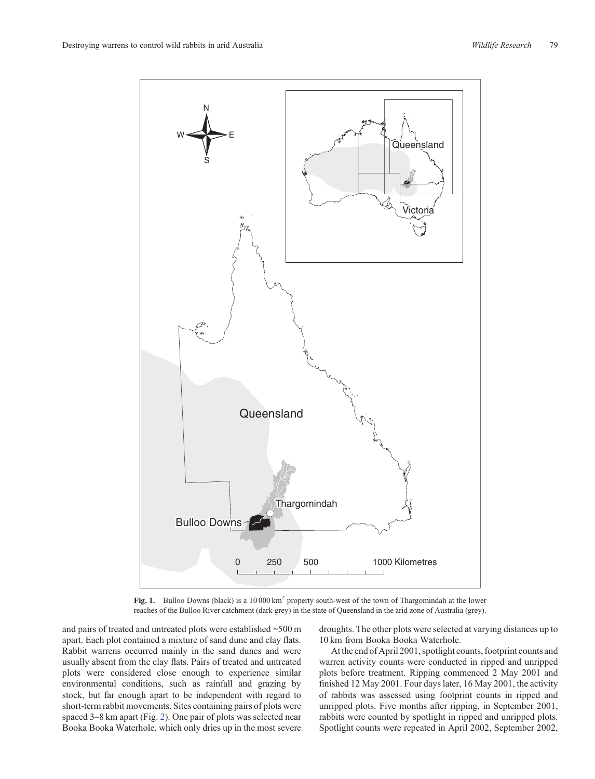<span id="page-2-0"></span>

Fig. 1. Bulloo Downs (black) is a 10 000 km<sup>2</sup> property south-west of the town of Thargomindah at the lower reaches of the Bulloo River catchment (dark grey) in the state of Queensland in the arid zone of Australia (grey).

and pairs of treated and untreated plots were established ~500 m apart. Each plot contained a mixture of sand dune and clay flats. Rabbit warrens occurred mainly in the sand dunes and were usually absent from the clay flats. Pairs of treated and untreated plots were considered close enough to experience similar environmental conditions, such as rainfall and grazing by stock, but far enough apart to be independent with regard to short-term rabbit movements. Sites containing pairs of plots were spaced 3–8 km apart (Fig. [2](#page-3-0)). One pair of plots was selected near Booka Booka Waterhole, which only dries up in the most severe

droughts. The other plots were selected at varying distances up to 10 km from Booka Booka Waterhole.

At the end of April 2001, spotlight counts, footprint counts and warren activity counts were conducted in ripped and unripped plots before treatment. Ripping commenced 2 May 2001 and finished 12 May 2001. Four days later, 16 May 2001, the activity of rabbits was assessed using footprint counts in ripped and unripped plots. Five months after ripping, in September 2001, rabbits were counted by spotlight in ripped and unripped plots. Spotlight counts were repeated in April 2002, September 2002,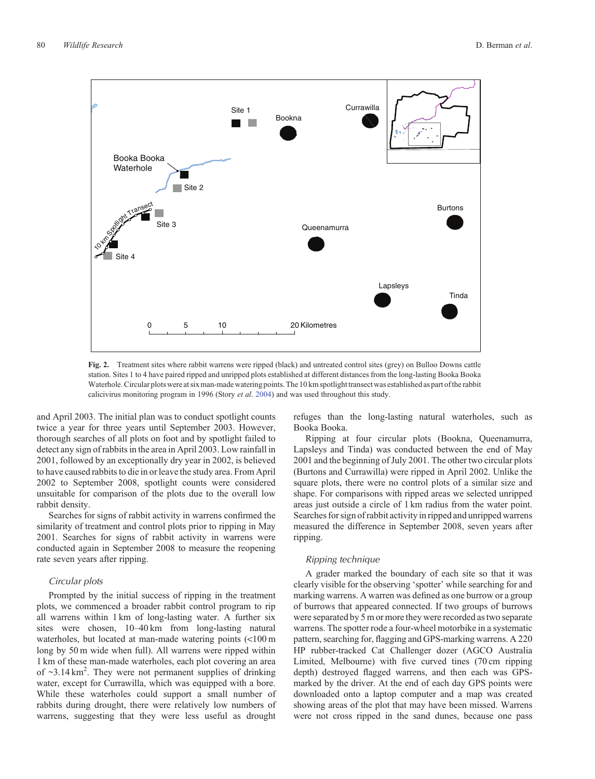<span id="page-3-0"></span>

**Fig. 2.** Treatment sites where rabbit warrens were ripped (black) and untreated control sites (grey) on Bulloo Downs cattle station. Sites 1 to 4 have paired ripped and unripped plots established at different distances from the long-lasting Booka Booka Waterhole. Circular plots were at six man-made watering points. The 10 km spotlight transect was established as part of the rabbit calicivirus monitoring program in 1996 (Story *et al*. [2004\)](#page-11-0) and was used throughout this study.

and April 2003. The initial plan was to conduct spotlight counts twice a year for three years until September 2003. However, thorough searches of all plots on foot and by spotlight failed to detect any sign of rabbits in the area in April 2003. Low rainfall in 2001, followed by an exceptionally dry year in 2002, is believed to have caused rabbits to die in or leave the study area. From April 2002 to September 2008, spotlight counts were considered unsuitable for comparison of the plots due to the overall low rabbit density.

Searches for signs of rabbit activity in warrens confirmed the similarity of treatment and control plots prior to ripping in May 2001. Searches for signs of rabbit activity in warrens were conducted again in September 2008 to measure the reopening rate seven years after ripping.

## *Circular plots*

Prompted by the initial success of ripping in the treatment plots, we commenced a broader rabbit control program to rip all warrens within 1 km of long-lasting water. A further six sites were chosen, 10–40 km from long-lasting natural waterholes, but located at man-made watering points (<100 m long by 50 m wide when full). All warrens were ripped within 1 km of these man-made waterholes, each plot covering an area of ~3.14 km<sup>2</sup>. They were not permanent supplies of drinking water, except for Currawilla, which was equipped with a bore. While these waterholes could support a small number of rabbits during drought, there were relatively low numbers of warrens, suggesting that they were less useful as drought

refuges than the long-lasting natural waterholes, such as Booka Booka.

Ripping at four circular plots (Bookna, Queenamurra, Lapsleys and Tinda) was conducted between the end of May 2001 and the beginning of July 2001. The other two circular plots (Burtons and Currawilla) were ripped in April 2002. Unlike the square plots, there were no control plots of a similar size and shape. For comparisons with ripped areas we selected unripped areas just outside a circle of 1 km radius from the water point. Searches for sign of rabbit activity in ripped and unripped warrens measured the difference in September 2008, seven years after ripping.

#### *Ripping technique*

A grader marked the boundary of each site so that it was clearly visible for the observing 'spotter' while searching for and marking warrens. A warren was defined as one burrow or a group of burrows that appeared connected. If two groups of burrows were separated by 5 m or more they were recorded as two separate warrens. The spotter rode a four-wheel motorbike in a systematic pattern, searching for, flagging and GPS-marking warrens. A 220 HP rubber-tracked Cat Challenger dozer (AGCO Australia Limited, Melbourne) with five curved tines (70 cm ripping depth) destroyed flagged warrens, and then each was GPSmarked by the driver. At the end of each day GPS points were downloaded onto a laptop computer and a map was created showing areas of the plot that may have been missed. Warrens were not cross ripped in the sand dunes, because one pass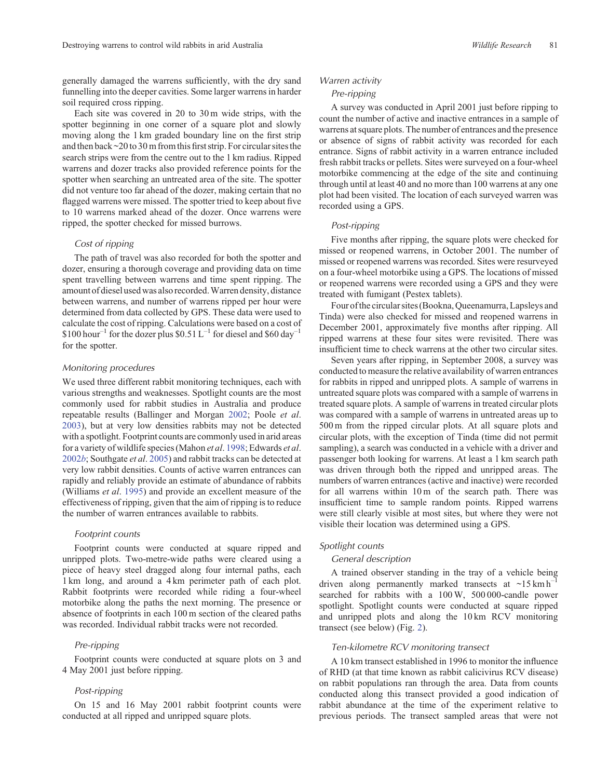generally damaged the warrens sufficiently, with the dry sand funnelling into the deeper cavities. Some larger warrens in harder soil required cross ripping.

Each site was covered in 20 to 30 m wide strips, with the spotter beginning in one corner of a square plot and slowly moving along the 1 km graded boundary line on the first strip and then back  $\sim$  20 to 30 m from this first strip. For circular sites the search strips were from the centre out to the 1 km radius. Ripped warrens and dozer tracks also provided reference points for the spotter when searching an untreated area of the site. The spotter did not venture too far ahead of the dozer, making certain that no flagged warrens were missed. The spotter tried to keep about five to 10 warrens marked ahead of the dozer. Once warrens were ripped, the spotter checked for missed burrows.

## *Cost of ripping*

The path of travel was also recorded for both the spotter and dozer, ensuring a thorough coverage and providing data on time spent travelling between warrens and time spent ripping. The amount of diesel used was also recorded.Warren density, distance between warrens, and number of warrens ripped per hour were determined from data collected by GPS. These data were used to calculate the cost of ripping. Calculations were based on a cost of  $$100 hour<sup>-1</sup>$  for the dozer plus  $$0.51 L<sup>-1</sup>$  for diesel and  $$60 day<sup>-1</sup>$ for the spotter.

#### *Monitoring procedures*

We used three different rabbit monitoring techniques, each with various strengths and weaknesses. Spotlight counts are the most commonly used for rabbit studies in Australia and produce repeatable results (Ballinger and Morgan [2002;](#page-10-0) Poole *et al*. [2003](#page-11-0)), but at very low densities rabbits may not be detected with a spotlight. Footprint counts are commonly used in arid areas for a variety of wildlife species (Mahon *et al*. [1998](#page-11-0); Edwards *et al*. [2002](#page-10-0)*b*; Southgate *et al*. [2005\)](#page-11-0) and rabbit tracks can be detected at very low rabbit densities. Counts of active warren entrances can rapidly and reliably provide an estimate of abundance of rabbits (Williams *et al*. [1995](#page-11-0)) and provide an excellent measure of the effectiveness of ripping, given that the aim of ripping is to reduce the number of warren entrances available to rabbits.

## *Footprint counts*

Footprint counts were conducted at square ripped and unripped plots. Two-metre-wide paths were cleared using a piece of heavy steel dragged along four internal paths, each 1 km long, and around a 4 km perimeter path of each plot. Rabbit footprints were recorded while riding a four-wheel motorbike along the paths the next morning. The presence or absence of footprints in each 100 m section of the cleared paths was recorded. Individual rabbit tracks were not recorded.

#### *Pre-ripping*

Footprint counts were conducted at square plots on 3 and 4 May 2001 just before ripping.

## *Post-ripping*

On 15 and 16 May 2001 rabbit footprint counts were conducted at all ripped and unripped square plots.

#### *Warren activity*

#### *Pre-ripping*

A survey was conducted in April 2001 just before ripping to count the number of active and inactive entrances in a sample of warrens at square plots. The number of entrances and the presence or absence of signs of rabbit activity was recorded for each entrance. Signs of rabbit activity in a warren entrance included fresh rabbit tracks or pellets. Sites were surveyed on a four-wheel motorbike commencing at the edge of the site and continuing through until at least 40 and no more than 100 warrens at any one plot had been visited. The location of each surveyed warren was recorded using a GPS.

## *Post-ripping*

Five months after ripping, the square plots were checked for missed or reopened warrens, in October 2001. The number of missed or reopened warrens was recorded. Sites were resurveyed on a four-wheel motorbike using a GPS. The locations of missed or reopened warrens were recorded using a GPS and they were treated with fumigant (Pestex tablets).

Four of the circular sites (Bookna, Queenamurra, Lapsleys and Tinda) were also checked for missed and reopened warrens in December 2001, approximately five months after ripping. All ripped warrens at these four sites were revisited. There was insufficient time to check warrens at the other two circular sites.

Seven years after ripping, in September 2008, a survey was conducted to measure the relative availability of warren entrances for rabbits in ripped and unripped plots. A sample of warrens in untreated square plots was compared with a sample of warrens in treated square plots. A sample of warrens in treated circular plots was compared with a sample of warrens in untreated areas up to 500 m from the ripped circular plots. At all square plots and circular plots, with the exception of Tinda (time did not permit sampling), a search was conducted in a vehicle with a driver and passenger both looking for warrens. At least a 1 km search path was driven through both the ripped and unripped areas. The numbers of warren entrances (active and inactive) were recorded for all warrens within 10 m of the search path. There was insufficient time to sample random points. Ripped warrens were still clearly visible at most sites, but where they were not visible their location was determined using a GPS.

## *Spotlight counts*

#### *General description*

A trained observer standing in the tray of a vehicle being driven along permanently marked transects at  $\sim$ 15 km h<sup>-1</sup> searched for rabbits with a 100 W, 500 000-candle power spotlight. Spotlight counts were conducted at square ripped and unripped plots and along the 10 km RCV monitoring transect (see below) (Fig. [2\)](#page-3-0).

## *Ten-kilometre RCV monitoring transect*

A 10 km transect established in 1996 to monitor the influence of RHD (at that time known as rabbit calicivirus RCV disease) on rabbit populations ran through the area. Data from counts conducted along this transect provided a good indication of rabbit abundance at the time of the experiment relative to previous periods. The transect sampled areas that were not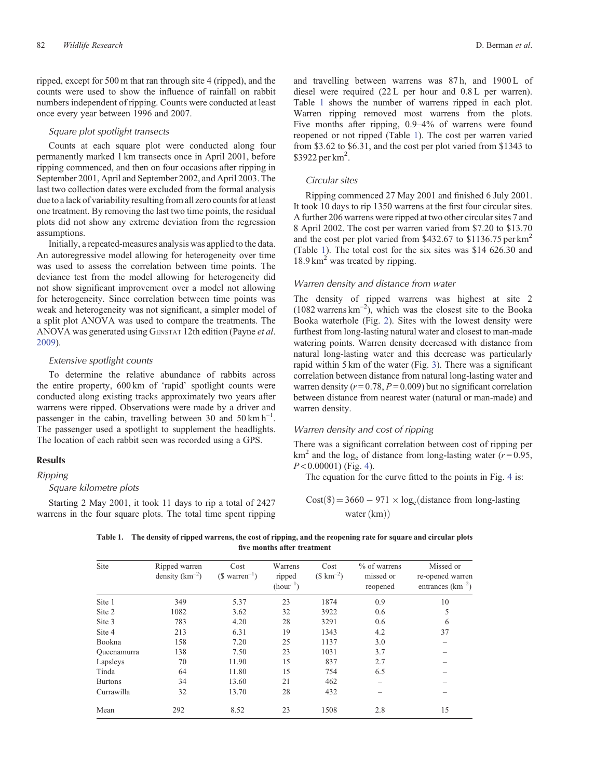<span id="page-5-0"></span>ripped, except for 500 m that ran through site 4 (ripped), and the counts were used to show the influence of rainfall on rabbit numbers independent of ripping. Counts were conducted at least once every year between 1996 and 2007.

## *Square plot spotlight transects*

Counts at each square plot were conducted along four permanently marked 1 km transects once in April 2001, before ripping commenced, and then on four occasions after ripping in September 2001, April and September 2002, and April 2003. The last two collection dates were excluded from the formal analysis due to a lack of variability resulting from all zero counts for at least one treatment. By removing the last two time points, the residual plots did not show any extreme deviation from the regression assumptions.

Initially, a repeated-measures analysis was applied to the data. An autoregressive model allowing for heterogeneity over time was used to assess the correlation between time points. The deviance test from the model allowing for heterogeneity did not show significant improvement over a model not allowing for heterogeneity. Since correlation between time points was weak and heterogeneity was not significant, a simpler model of a split plot ANOVA was used to compare the treatments. The ANOVA was generated using GENSTAT 12th edition (Payne *et al*. [2009\)](#page-11-0).

## *Extensive spotlight counts*

To determine the relative abundance of rabbits across the entire property, 600 km of 'rapid' spotlight counts were conducted along existing tracks approximately two years after warrens were ripped. Observations were made by a driver and passenger in the cabin, travelling between 30 and 50 km  $h^{-1}$ . The passenger used a spotlight to supplement the headlights. The location of each rabbit seen was recorded using a GPS.

#### **Results**

## *Ripping*

#### *Square kilometre plots*

Starting 2 May 2001, it took 11 days to rip a total of 2427 warrens in the four square plots. The total time spent ripping and travelling between warrens was 87h, and 1900 L of diesel were required (22 L per hour and 0.8 L per warren). Table 1 shows the number of warrens ripped in each plot. Warren ripping removed most warrens from the plots. Five months after ripping, 0.9–4% of warrens were found reopened or not ripped (Table 1). The cost per warren varied from \$3.62 to \$6.31, and the cost per plot varied from \$1343 to \$3922 per km<sup>2</sup>.

#### *Circular sites*

Ripping commenced 27 May 2001 and finished 6 July 2001. It took 10 days to rip 1350 warrens at the first four circular sites. A further 206 warrens were ripped at two other circular sites 7 and 8 April 2002. The cost per warren varied from \$7.20 to \$13.70 and the cost per plot varied from \$432.67 to \$1136.75 per  $km^2$ (Table 1). The total cost for the six sites was \$14 626.30 and  $18.9 \text{ km}^2$  was treated by ripping.

## *Warren density and distance from water*

The density of ripped warrens was highest at site 2  $(1082 \text{ warrens km}^{-2})$ , which was the closest site to the Booka Booka waterhole (Fig. [2](#page-3-0)). Sites with the lowest density were furthest from long-lasting natural water and closest to man-made watering points. Warren density decreased with distance from natural long-lasting water and this decrease was particularly rapid within 5 km of the water (Fig. [3\)](#page-6-0). There was a significant correlation between distance from natural long-lasting water and warren density  $(r=0.78, P=0.009)$  but no significant correlation between distance from nearest water (natural or man-made) and warren density.

## *Warren density and cost of ripping*

There was a significant correlation between cost of ripping per  $km^2$  and the log<sub>e</sub> of distance from long-lasting water ( $r = 0.95$ , *P* < 0.00001) (Fig. [4\)](#page-6-0).

The equation for the curve fitted to the points in Fig. [4](#page-6-0) is:

 $Cost(\$) = 3660 - 971 \times \log_e(\text{distance from long-lasting})$ water  $(km)$ 

**Table 1. The density of ripped warrens, the cost of ripping, and the reopening rate for square and circular plots five months after treatment**

| Site               | Ripped warren<br>density $(km^{-2})$ | Cost<br>$($ \text{ warmer}^{-1})$ | Warrens<br>ripped<br>$(hour^{-1})$ | Cost<br>$($ \rm km^{-2})$ | % of warrens<br>missed or<br>reopened | Missed or<br>re-opened warren<br>entrances $(km^{-2})$ |
|--------------------|--------------------------------------|-----------------------------------|------------------------------------|---------------------------|---------------------------------------|--------------------------------------------------------|
| Site 1             | 349                                  | 5.37                              | 23                                 | 1874                      | 0.9                                   | 10                                                     |
| Site 2             | 1082                                 | 3.62                              | 32                                 | 3922                      | 0.6                                   | 5                                                      |
| Site 3             | 783                                  | 4.20                              | 28                                 | 3291                      | 0.6                                   | 6                                                      |
| Site 4             | 213                                  | 6.31                              | 19                                 | 1343                      | 4.2                                   | 37                                                     |
| Bookna             | 158                                  | 7.20                              | 25                                 | 1137                      | 3.0                                   |                                                        |
| <b>Oueenamurra</b> | 138                                  | 7.50                              | 23                                 | 1031                      | 3.7                                   |                                                        |
| Lapsleys           | 70                                   | 11.90                             | 15                                 | 837                       | 2.7                                   |                                                        |
| Tinda              | 64                                   | 11.80                             | 15                                 | 754                       | 6.5                                   |                                                        |
| <b>Burtons</b>     | 34                                   | 13.60                             | 21                                 | 462                       |                                       |                                                        |
| Currawilla         | 32                                   | 13.70                             | 28                                 | 432                       |                                       |                                                        |
| Mean               | 292                                  | 8.52                              | 23                                 | 1508                      | 2.8                                   | 15                                                     |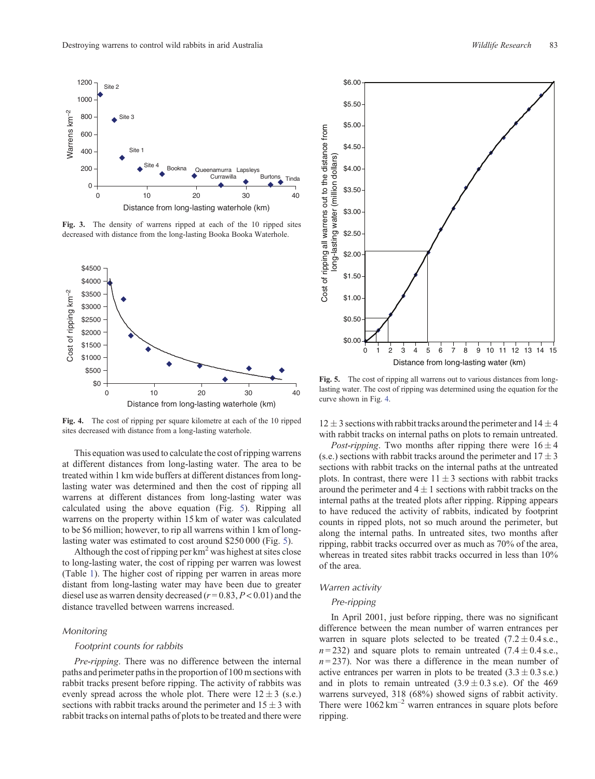<span id="page-6-0"></span>

**Fig. 3.** The density of warrens ripped at each of the 10 ripped sites decreased with distance from the long-lasting Booka Booka Waterhole.



**Fig. 4.** The cost of ripping per square kilometre at each of the 10 ripped sites decreased with distance from a long-lasting waterhole.

This equation was used to calculate the cost of ripping warrens at different distances from long-lasting water. The area to be treated within 1 km wide buffers at different distances from longlasting water was determined and then the cost of ripping all warrens at different distances from long-lasting water was calculated using the above equation (Fig. 5). Ripping all warrens on the property within 15 km of water was calculated to be \$6 million; however, to rip all warrens within 1 km of longlasting water was estimated to cost around \$250 000 (Fig. 5).

Although the cost of ripping per  $km<sup>2</sup>$  was highest at sites close to long-lasting water, the cost of ripping per warren was lowest (Table [1](#page-5-0)). The higher cost of ripping per warren in areas more distant from long-lasting water may have been due to greater diesel use as warren density decreased (*r* = 0.83, *P* < 0.01) and the distance travelled between warrens increased.

#### *Monitoring*

#### *Footprint counts for rabbits*

*Pre*-*ripping*. There was no difference between the internal paths and perimeter paths in the proportion of 100 m sections with rabbit tracks present before ripping. The activity of rabbits was evenly spread across the whole plot. There were  $12 \pm 3$  (s.e.) sections with rabbit tracks around the perimeter and  $15 \pm 3$  with rabbit tracks on internal paths of plots to be treated and there were



**Fig. 5.** The cost of ripping all warrens out to various distances from longlasting water. The cost of ripping was determined using the equation for the curve shown in Fig. 4.

 $12 \pm 3$  sections with rabbit tracks around the perimeter and  $14 \pm 4$ with rabbit tracks on internal paths on plots to remain untreated.

*Post-ripping*. Two months after ripping there were  $16 \pm 4$ (s.e.) sections with rabbit tracks around the perimeter and  $17 \pm 3$ sections with rabbit tracks on the internal paths at the untreated plots. In contrast, there were  $11 \pm 3$  sections with rabbit tracks around the perimeter and  $4 \pm 1$  sections with rabbit tracks on the internal paths at the treated plots after ripping. Ripping appears to have reduced the activity of rabbits, indicated by footprint counts in ripped plots, not so much around the perimeter, but along the internal paths. In untreated sites, two months after ripping, rabbit tracks occurred over as much as 70% of the area, whereas in treated sites rabbit tracks occurred in less than 10% of the area.

#### *Warren activity*

## *Pre-ripping*

In April 2001, just before ripping, there was no significant difference between the mean number of warren entrances per warren in square plots selected to be treated  $(7.2 \pm 0.4 \text{ s.e.,})$  $n = 232$ ) and square plots to remain untreated (7.4  $\pm$  0.4 s.e.,  $n=237$ ). Nor was there a difference in the mean number of active entrances per warren in plots to be treated  $(3.3 \pm 0.3 \text{ s.e.})$ and in plots to remain untreated  $(3.9 \pm 0.3 \text{ s.e.})$ . Of the 469 warrens surveyed, 318 (68%) showed signs of rabbit activity. There were  $1062 \text{ km}^{-2}$  warren entrances in square plots before ripping.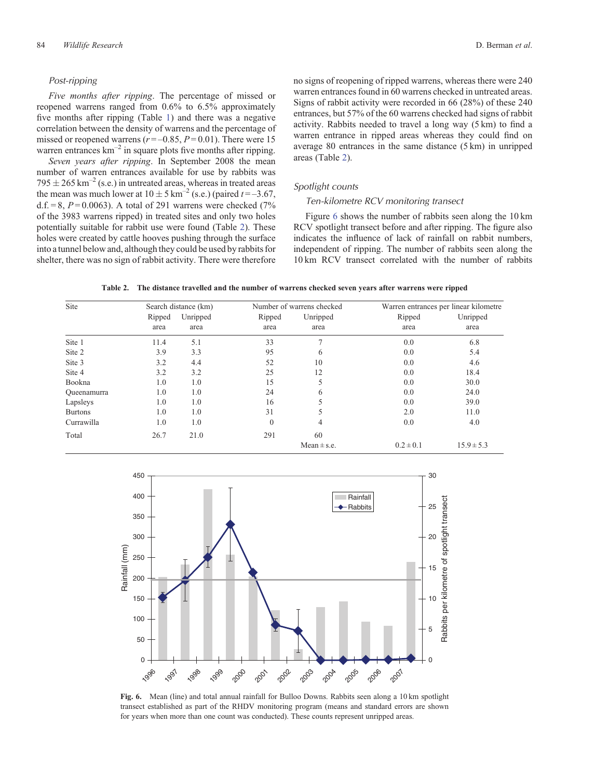## *Post-ripping*

*Five months after ripping*. The percentage of missed or reopened warrens ranged from 0.6% to 6.5% approximately five months after ripping (Table [1\)](#page-5-0) and there was a negative correlation between the density of warrens and the percentage of missed or reopened warrens  $(r = -0.85, P = 0.01)$ . There were 15 warren entrances  $km^{-2}$  in square plots five months after ripping.

*Seven years after ripping*. In September 2008 the mean number of warren entrances available for use by rabbits was  $795 \pm 265$  km<sup>-2</sup> (s.e.) in untreated areas, whereas in treated areas the mean was much lower at  $10 \pm 5 \text{ km}^{-2}$  (s.e.) (paired  $t = -3.67$ , d.f.  $= 8$ ,  $P = 0.0063$ ). A total of 291 warrens were checked (7%) of the 3983 warrens ripped) in treated sites and only two holes potentially suitable for rabbit use were found (Table 2). These holes were created by cattle hooves pushing through the surface into a tunnel below and, although they could be used by rabbits for shelter, there was no sign of rabbit activity. There were therefore no signs of reopening of ripped warrens, whereas there were 240 warren entrances found in 60 warrens checked in untreated areas. Signs of rabbit activity were recorded in 66 (28%) of these 240 entrances, but 57% of the 60 warrens checked had signs of rabbit activity. Rabbits needed to travel a long way (5 km) to find a warren entrance in ripped areas whereas they could find on average 80 entrances in the same distance (5 km) in unripped areas (Table 2).

#### *Spotlight counts*

#### *Ten-kilometre RCV monitoring transect*

Figure 6 shows the number of rabbits seen along the 10 km RCV spotlight transect before and after ripping. The figure also indicates the influence of lack of rainfall on rabbit numbers, independent of ripping. The number of rabbits seen along the 10 km RCV transect correlated with the number of rabbits

| Table 2. The distance travelled and the number of warrens checked seven years after warrens were ripped |  |  |  |  |  |
|---------------------------------------------------------------------------------------------------------|--|--|--|--|--|
|                                                                                                         |  |  |  |  |  |

| Site           |        | Search distance (km) |              | Number of warrens checked | Warren entrances per linear kilometre |                |  |
|----------------|--------|----------------------|--------------|---------------------------|---------------------------------------|----------------|--|
|                | Ripped | Unripped             | Ripped       | Unripped                  | Ripped                                | Unripped       |  |
|                | area   | area                 | area         | area                      | area                                  | area           |  |
| Site 1         | 11.4   | 5.1                  | 33           |                           | 0.0                                   | 6.8            |  |
| Site 2         | 3.9    | 3.3                  | 95           | 6                         | 0.0                                   | 5.4            |  |
| Site 3         | 3.2    | 4.4                  | 52           | 10                        | 0.0                                   | 4.6            |  |
| Site 4         | 3.2    | 3.2                  | 25           | 12                        | 0.0                                   | 18.4           |  |
| Bookna         | 1.0    | 1.0                  | 15           |                           | 0.0                                   | 30.0           |  |
| Queenamurra    | 1.0    | 1.0                  | 24           | 6                         | 0.0                                   | 24.0           |  |
| Lapsleys       | 1.0    | 1.0                  | 16           |                           | 0.0                                   | 39.0           |  |
| <b>Burtons</b> | 1.0    | 1.0                  | 31           |                           | 2.0                                   | 11.0           |  |
| Currawilla     | 1.0    | 1.0                  | $\mathbf{0}$ | 4                         | 0.0                                   | 4.0            |  |
| Total          | 26.7   | 21.0                 | 291          | 60                        |                                       |                |  |
|                |        |                      |              | $Mean \pm s.e.$           | $0.2 \pm 0.1$                         | $15.9 \pm 5.3$ |  |



**Fig. 6.** Mean (line) and total annual rainfall for Bulloo Downs. Rabbits seen along a 10 km spotlight transect established as part of the RHDV monitoring program (means and standard errors are shown for years when more than one count was conducted). These counts represent unripped areas.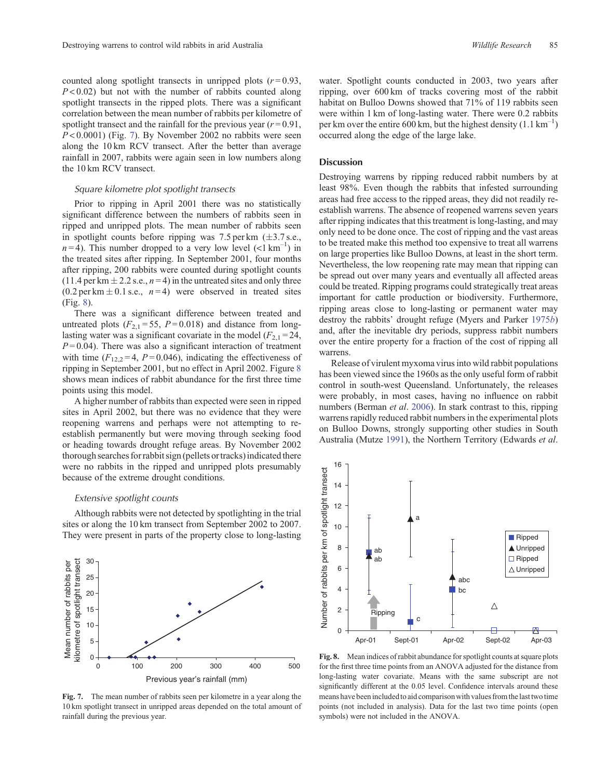<span id="page-8-0"></span>counted along spotlight transects in unripped plots  $(r=0.93,$ *P* < 0.02) but not with the number of rabbits counted along spotlight transects in the ripped plots. There was a significant correlation between the mean number of rabbits per kilometre of spotlight transect and the rainfall for the previous year  $(r=0.91,$  $P < 0.0001$ ) (Fig. 7). By November 2002 no rabbits were seen along the 10 km RCV transect. After the better than average rainfall in 2007, rabbits were again seen in low numbers along the 10 km RCV transect.

## *Square kilometre plot spotlight transects*

Prior to ripping in April 2001 there was no statistically significant difference between the numbers of rabbits seen in ripped and unripped plots. The mean number of rabbits seen in spotlight counts before ripping was 7.5 per km  $(\pm 3.7 \text{ s.e.,})$  $n=4$ ). This number dropped to a very low level (<1 km<sup>-1</sup>) in the treated sites after ripping. In September 2001, four months after ripping, 200 rabbits were counted during spotlight counts  $(11.4 \text{ per km} \pm 2.2 \text{ s.e., } n=4)$  in the untreated sites and only three  $(0.2 \text{ per km} \pm 0.1 \text{ s.e., } n=4)$  were observed in treated sites (Fig. 8).

There was a significant difference between treated and untreated plots  $(F_{2,1} = 55, P = 0.018)$  and distance from longlasting water was a significant covariate in the model  $(F_{2,1} = 24,$  $P = 0.04$ ). There was also a significant interaction of treatment with time  $(F_{12,2} = 4, P = 0.046)$ , indicating the effectiveness of ripping in September 2001, but no effect in April 2002. Figure 8 shows mean indices of rabbit abundance for the first three time points using this model.

A higher number of rabbits than expected were seen in ripped sites in April 2002, but there was no evidence that they were reopening warrens and perhaps were not attempting to reestablish permanently but were moving through seeking food or heading towards drought refuge areas. By November 2002 thorough searches for rabbit sign (pellets or tracks) indicated there were no rabbits in the ripped and unripped plots presumably because of the extreme drought conditions.

#### *Extensive spotlight counts*

Mean number of rabbits per kilometre of spotlight transect

Mean number of rabbits per<br>kilometre of spotlight transect

Although rabbits were not detected by spotlighting in the trial sites or along the 10 km transect from September 2002 to 2007. They were present in parts of the property close to long-lasting



0 100 200 300 400 500 Previous year's rainfall (mm)

water. Spotlight counts conducted in 2003, two years after ripping, over 600 km of tracks covering most of the rabbit habitat on Bulloo Downs showed that 71% of 119 rabbits seen were within 1 km of long-lasting water. There were 0.2 rabbits per km over the entire 600 km, but the highest density  $(1.1 \text{ km}^{-1})$ occurred along the edge of the large lake.

#### **Discussion**

Destroying warrens by ripping reduced rabbit numbers by at least 98%. Even though the rabbits that infested surrounding areas had free access to the ripped areas, they did not readily reestablish warrens. The absence of reopened warrens seven years after ripping indicates that this treatment is long-lasting, and may only need to be done once. The cost of ripping and the vast areas to be treated make this method too expensive to treat all warrens on large properties like Bulloo Downs, at least in the short term. Nevertheless, the low reopening rate may mean that ripping can be spread out over many years and eventually all affected areas could be treated. Ripping programs could strategically treat areas important for cattle production or biodiversity. Furthermore, ripping areas close to long-lasting or permanent water may destroy the rabbits' drought refuge (Myers and Parker [1975](#page-11-0)*b*) and, after the inevitable dry periods, suppress rabbit numbers over the entire property for a fraction of the cost of ripping all warrens.

Release of virulent myxoma virus into wild rabbit populations has been viewed since the 1960s as the only useful form of rabbit control in south-west Queensland. Unfortunately, the releases were probably, in most cases, having no influence on rabbit numbers (Berman *et al*. [2006\)](#page-10-0). In stark contrast to this, ripping warrens rapidly reduced rabbit numbers in the experimental plots on Bulloo Downs, strongly supporting other studies in South Australia (Mutze [1991](#page-11-0)), the Northern Territory (Edwards *et al*.



**Fig. 8.** Mean indices of rabbit abundance for spotlight counts at square plots for the first three time points from an ANOVA adjusted for the distance from long-lasting water covariate. Means with the same subscript are not significantly different at the 0.05 level. Confidence intervals around these means have beenincludedto aid comparison with values fromthelasttwotime points (not included in analysis). Data for the last two time points (open symbols) were not included in the ANOVA.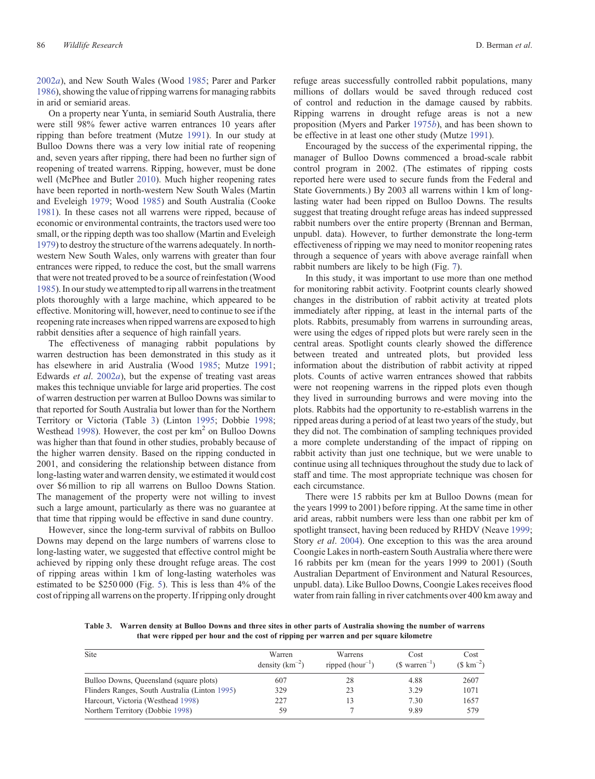[2002](#page-10-0)*a*), and New South Wales (Wood [1985](#page-11-0); Parer and Parker [1986\)](#page-11-0), showing the value of ripping warrens for managing rabbits in arid or semiarid areas.

On a property near Yunta, in semiarid South Australia, there were still 98% fewer active warren entrances 10 years after ripping than before treatment (Mutze [1991](#page-11-0)). In our study at Bulloo Downs there was a very low initial rate of reopening and, seven years after ripping, there had been no further sign of reopening of treated warrens. Ripping, however, must be done well (McPhee and Butler [2010\)](#page-11-0). Much higher reopening rates have been reported in north-western New South Wales (Martin and Eveleigh [1979;](#page-11-0) Wood [1985](#page-11-0)) and South Australia (Cooke [1981\)](#page-10-0). In these cases not all warrens were ripped, because of economic or environmental contraints, the tractors used were too small, or the ripping depth was too shallow (Martin and Eveleigh [1979\)](#page-11-0) to destroy the structure of the warrens adequately. In northwestern New South Wales, only warrens with greater than four entrances were ripped, to reduce the cost, but the small warrens that were not treated proved to be a source of reinfestation (Wood [1985\)](#page-11-0). In our study we attempted to rip all warrens in the treatment plots thoroughly with a large machine, which appeared to be effective. Monitoring will, however, need to continue to see if the reopening rate increases when ripped warrens are exposed to high rabbit densities after a sequence of high rainfall years.

The effectiveness of managing rabbit populations by warren destruction has been demonstrated in this study as it has elsewhere in arid Australia (Wood [1985;](#page-11-0) Mutze [1991](#page-11-0); Edwards *et al*. [2002](#page-10-0)*a*), but the expense of treating vast areas makes this technique unviable for large arid properties. The cost of warren destruction per warren at Bulloo Downs was similar to that reported for South Australia but lower than for the Northern Territory or Victoria (Table 3) (Linton [1995](#page-11-0); Dobbie [1998](#page-10-0); Westhead [1998](#page-11-0)). However, the cost per  $km<sup>2</sup>$  on Bulloo Downs was higher than that found in other studies, probably because of the higher warren density. Based on the ripping conducted in 2001, and considering the relationship between distance from long-lasting water and warren density, we estimated it would cost over \$6 million to rip all warrens on Bulloo Downs Station. The management of the property were not willing to invest such a large amount, particularly as there was no guarantee at that time that ripping would be effective in sand dune country.

However, since the long-term survival of rabbits on Bulloo Downs may depend on the large numbers of warrens close to long-lasting water, we suggested that effective control might be achieved by ripping only these drought refuge areas. The cost of ripping areas within 1 km of long-lasting waterholes was estimated to be \$250 000 (Fig. [5\)](#page-6-0). This is less than 4% of the cost of ripping all warrens on the property. If ripping only drought refuge areas successfully controlled rabbit populations, many millions of dollars would be saved through reduced cost of control and reduction in the damage caused by rabbits. Ripping warrens in drought refuge areas is not a new proposition (Myers and Parker [1975](#page-11-0)*b*), and has been shown to be effective in at least one other study (Mutze [1991](#page-11-0)).

Encouraged by the success of the experimental ripping, the manager of Bulloo Downs commenced a broad-scale rabbit control program in 2002. (The estimates of ripping costs reported here were used to secure funds from the Federal and State Governments.) By 2003 all warrens within 1 km of longlasting water had been ripped on Bulloo Downs. The results suggest that treating drought refuge areas has indeed suppressed rabbit numbers over the entire property (Brennan and Berman, unpubl. data). However, to further demonstrate the long-term effectiveness of ripping we may need to monitor reopening rates through a sequence of years with above average rainfall when rabbit numbers are likely to be high (Fig. [7](#page-8-0)).

In this study, it was important to use more than one method for monitoring rabbit activity. Footprint counts clearly showed changes in the distribution of rabbit activity at treated plots immediately after ripping, at least in the internal parts of the plots. Rabbits, presumably from warrens in surrounding areas, were using the edges of ripped plots but were rarely seen in the central areas. Spotlight counts clearly showed the difference between treated and untreated plots, but provided less information about the distribution of rabbit activity at ripped plots. Counts of active warren entrances showed that rabbits were not reopening warrens in the ripped plots even though they lived in surrounding burrows and were moving into the plots. Rabbits had the opportunity to re-establish warrens in the ripped areas during a period of at least two years of the study, but they did not. The combination of sampling techniques provided a more complete understanding of the impact of ripping on rabbit activity than just one technique, but we were unable to continue using all techniques throughout the study due to lack of staff and time. The most appropriate technique was chosen for each circumstance.

There were 15 rabbits per km at Bulloo Downs (mean for the years 1999 to 2001) before ripping. At the same time in other arid areas, rabbit numbers were less than one rabbit per km of spotlight transect, having been reduced by RHDV (Neave [1999](#page-11-0); Story *et al*. [2004\)](#page-11-0). One exception to this was the area around Coongie Lakes in north-eastern South Australia where there were 16 rabbits per km (mean for the years 1999 to 2001) (South Australian Department of Environment and Natural Resources, unpubl. data). Like Bulloo Downs, Coongie Lakes receives flood water from rain falling in river catchments over 400 km away and

**Table 3. Warren density at Bulloo Downs and three sites in other parts of Australia showing the number of warrens that were ripped per hour and the cost of ripping per warren and per square kilometre**

| Site                                           | Warren<br>density $(km^{-2})$ | Warrens<br>ripped $(hour^{-1})$ | Cost<br>$(S \text{ Warren}^{-1})$ | Cost<br>$($ \rm km^{-2})$ |
|------------------------------------------------|-------------------------------|---------------------------------|-----------------------------------|---------------------------|
| Bulloo Downs, Queensland (square plots)        | 607                           | 28                              | 4.88                              | 2607                      |
| Flinders Ranges, South Australia (Linton 1995) | 329                           | 23                              | 3.29                              | 1071                      |
| Harcourt, Victoria (Westhead 1998)             | 227                           |                                 | 7.30                              | 1657                      |
| Northern Territory (Dobbie 1998)               | 59                            |                                 | 9.89                              | 579                       |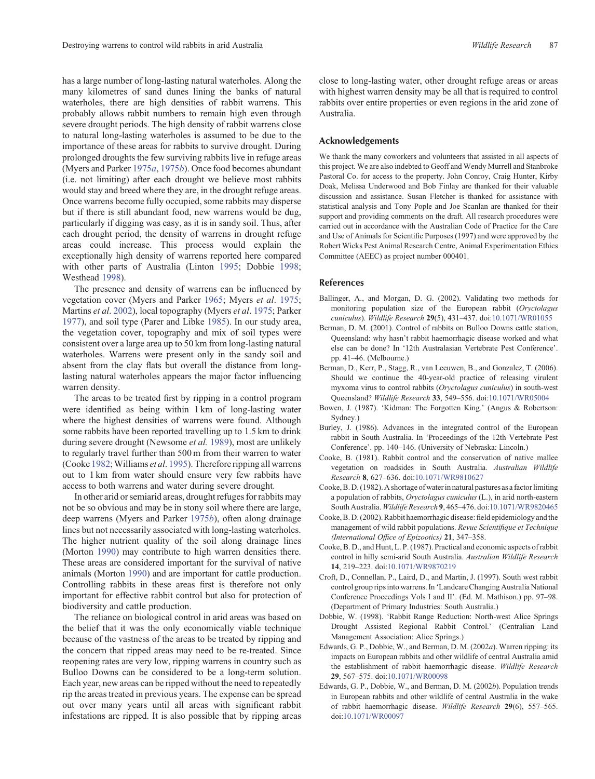<span id="page-10-0"></span>has a large number of long-lasting natural waterholes. Along the many kilometres of sand dunes lining the banks of natural waterholes, there are high densities of rabbit warrens. This probably allows rabbit numbers to remain high even through severe drought periods. The high density of rabbit warrens close to natural long-lasting waterholes is assumed to be due to the importance of these areas for rabbits to survive drought. During prolonged droughts the few surviving rabbits live in refuge areas (Myers and Parker [1975](#page-11-0)*a*, [1975](#page-11-0)*b*). Once food becomes abundant (i.e. not limiting) after each drought we believe most rabbits would stay and breed where they are, in the drought refuge areas. Once warrens become fully occupied, some rabbits may disperse but if there is still abundant food, new warrens would be dug, particularly if digging was easy, as it is in sandy soil. Thus, after each drought period, the density of warrens in drought refuge areas could increase. This process would explain the exceptionally high density of warrens reported here compared with other parts of Australia (Linton [1995;](#page-11-0) Dobbie 1998; Westhead [1998\)](#page-11-0).

The presence and density of warrens can be influenced by vegetation cover (Myers and Parker [1965](#page-11-0); Myers *et al*. [1975;](#page-11-0) Martins *et al*. [2002](#page-11-0)), local topography (Myers *et al*. [1975;](#page-11-0) Parker [1977](#page-11-0)), and soil type (Parer and Libke [1985](#page-11-0)). In our study area, the vegetation cover, topography and mix of soil types were consistent over a large area up to 50 km from long-lasting natural waterholes. Warrens were present only in the sandy soil and absent from the clay flats but overall the distance from longlasting natural waterholes appears the major factor influencing warren density.

The areas to be treated first by ripping in a control program were identified as being within 1 km of long-lasting water where the highest densities of warrens were found. Although some rabbits have been reported travelling up to 1.5 km to drink during severe drought (Newsome *et al.* [1989](#page-11-0)), most are unlikely to regularly travel further than 500 m from their warren to water (Cooke 1982;Williams *et al*. [1995\)](#page-11-0). Therefore ripping all warrens out to 1 km from water should ensure very few rabbits have access to both warrens and water during severe drought.

In other arid or semiarid areas, drought refuges for rabbits may not be so obvious and may be in stony soil where there are large, deep warrens (Myers and Parker [1975](#page-11-0)*b*), often along drainage lines but not necessarily associated with long-lasting waterholes. The higher nutrient quality of the soil along drainage lines (Morton [1990](#page-11-0)) may contribute to high warren densities there. These areas are considered important for the survival of native animals (Morton [1990\)](#page-11-0) and are important for cattle production. Controlling rabbits in these areas first is therefore not only important for effective rabbit control but also for protection of biodiversity and cattle production.

The reliance on biological control in arid areas was based on the belief that it was the only economically viable technique because of the vastness of the areas to be treated by ripping and the concern that ripped areas may need to be re-treated. Since reopening rates are very low, ripping warrens in country such as Bulloo Downs can be considered to be a long-term solution. Each year, new areas can be ripped without the need to repeatedly rip the areas treated in previous years. The expense can be spread out over many years until all areas with significant rabbit infestations are ripped. It is also possible that by ripping areas

close to long-lasting water, other drought refuge areas or areas with highest warren density may be all that is required to control rabbits over entire properties or even regions in the arid zone of Australia.

## **Acknowledgements**

We thank the many coworkers and volunteers that assisted in all aspects of this project. We are also indebted to Geoff and Wendy Murrell and Stanbroke Pastoral Co. for access to the property. John Conroy, Craig Hunter, Kirby Doak, Melissa Underwood and Bob Finlay are thanked for their valuable discussion and assistance. Susan Fletcher is thanked for assistance with statistical analysis and Tony Pople and Joe Scanlan are thanked for their support and providing comments on the draft. All research procedures were carried out in accordance with the Australian Code of Practice for the Care and Use of Animals for Scientific Purposes (1997) and were approved by the Robert Wicks Pest Animal Research Centre, Animal Experimentation Ethics Committee (AEEC) as project number 000401.

### **References**

- Ballinger, A., and Morgan, D. G. (2002). Validating two methods for monitoring population size of the European rabbit (*Oryctolagus cuniculus*). *Wildlife Research* **29**(5), 431–437. doi[:10.1071/WR01055](dx.doi.org/10.1071/WR01055)
- Berman, D. M. (2001). Control of rabbits on Bulloo Downs cattle station, Queensland: why hasn't rabbit haemorrhagic disease worked and what else can be done? In '12th Australasian Vertebrate Pest Conference'. pp. 41–46. (Melbourne.)
- Berman, D., Kerr, P., Stagg, R., van Leeuwen, B., and Gonzalez, T. (2006). Should we continue the 40-year-old practice of releasing virulent myxoma virus to control rabbits (*Oryctolagus cuniculus*) in south-west Queensland? *Wildlife Research* **33**, 549–556. doi[:10.1071/WR05004](dx.doi.org/10.1071/WR05004)
- Bowen, J. (1987). 'Kidman: The Forgotten King.' (Angus & Robertson: Sydney.)
- Burley, J. (1986). Advances in the integrated control of the European rabbit in South Australia. In 'Proceedings of the 12th Vertebrate Pest Conference'. pp. 140–146. (University of Nebraska: Lincoln.)
- Cooke, B. (1981). Rabbit control and the conservation of native mallee vegetation on roadsides in South Australia. *Australian Wildlife Research* **8**, 627–636. doi[:10.1071/WR9810627](dx.doi.org/10.1071/WR9810627)
- Cooke, B. D. (1982). A shortage of water in natural pastures as a factor limiting a population of rabbits, *Oryctolagus cuniculus* (L.), in arid north-eastern South Australia. *Wildlife Research* **9**, 465–476. doi:[10.1071/WR9820465](dx.doi.org/10.1071/WR9820465)
- Cooke, B. D. (2002). Rabbit haemorrhagic disease: field epidemiology and the management of wild rabbit populations. *Revue Scientifique et Technique (International Office of Epizootics)* **21**, 347–358.
- Cooke, B. D., and Hunt, L. P. (1987). Practical and economic aspects of rabbit control in hilly semi-arid South Australia. *Australian Wildlife Research* **14**, 219–223. doi:[10.1071/WR9870219](dx.doi.org/10.1071/WR9870219)
- Croft, D., Connellan, P., Laird, D., and Martin, J. (1997). South west rabbit control group rips into warrens. In 'Landcare Changing Australia National Conference Proceedings Vols I and II'. (Ed. M. Mathison.) pp. 97–98. (Department of Primary Industries: South Australia.)
- Dobbie, W. (1998). 'Rabbit Range Reduction: North-west Alice Springs Drought Assisted Regional Rabbit Control.' (Centralian Land Management Association: Alice Springs.)
- Edwards, G. P., Dobbie, W., and Berman, D. M. (2002*a*). Warren ripping: its impacts on European rabbits and other wildlife of central Australia amid the establishment of rabbit haemorrhagic disease. *Wildlife Research* **29**, 567–575. doi:[10.1071/WR00098](dx.doi.org/10.1071/WR00098)
- Edwards, G. P., Dobbie, W., and Berman, D. M. (2002*b*). Population trends in European rabbits and other wildlife of central Australia in the wake of rabbit haemorrhagic disease. *Wildlife Research* **29**(6), 557–565. doi:[10.1071/WR00097](dx.doi.org/10.1071/WR00097)